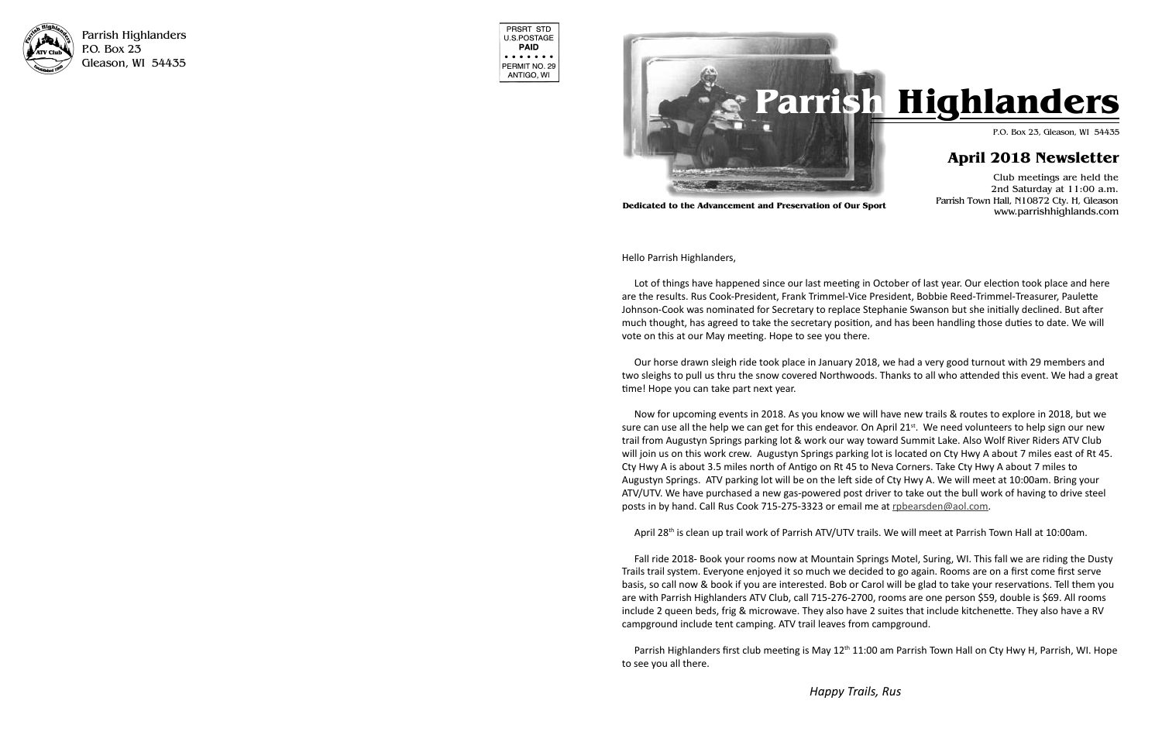

Parrish Highlanders P.O. Box 23 Gleason, WI 54435

| PRSRT STD<br>U.S.POSTAGE<br>PAID                                                                 |
|--------------------------------------------------------------------------------------------------|
| $\bullet\hspace{0.4mm}\bullet\hspace{0.4mm}\bullet\hspace{0.4mm}$<br>PERMIT NO. 29<br>ANTIGO, WI |

on Pickerel Lake at Jerry Schuh's. Riding in *Happy Trails, Rus*  $b_{\rm H}$  $\overline{\phantom{a}}$ 

Club meetings are held the 2nd Saturday at 11:00 a.m. Parrish Town Hall, N10872 Cty. H, Gleason www.parrishhighlands.com

Hello Parrish Highlanders, Hello Parrish Highlanders,

Lot of things have happened since our last meeting in October of last year. Our election took place and here are the results. Rus Cook-President, Frank Trimmel-Vice President, Bobbie Reed-Trimmel-Treasurer, Paulette Johnson-Cook was nominated for Secretary to replace Stephanie Swanson but she initially declined. But after much thought, has agreed to take the secretary position, and has been handling those duties to date. We will vote on this at our May meeting. Hope to see you there.

Our horse drawn sleigh ride took place in January 2018, we had a very good turnout with 29 members and two sleighs to pull us thru the snow covered Northwoods. Thanks to all who attended this event. We had a great<br>... time! Hope you can take part next year.

Now for upcoming events in 2018. As you know we will have new trails & routes to explore in 2018, but we way for approximity events in 2010. As you whow we will have new thans a roates to explore in 2010, but we sure can use all the help we can get for this endeavor. On April 21st. We need volunteers to help sign our new For the stop signs and slow down before your down before you provided to the stop signature to the progress of<br>trail from Augustyn Springs parking lot & work our way toward Summit Lake. Also Wolf River Riders ATV Club will join us on this work crew. Augustyn Springs parking lot is located on Cty Hwy A about 7 miles east of Rt 45. Cty Hwy A is about 3.5 miles north of Antigo on Rt 45 to Neva Corners. Take Cty Hwy A about 7 miles to Augustyn Springs. ATV parking lot will be on the left side of Cty Hwy A. We will meet at 10:00am. Bring your ATV/UTV. We have purchased a new gas-powered post driver to take out the bull work of having to drive steel posts in by hand. Call Rus Cook 715-275-3323 or email me at robearsden@aol.com.

April 28<sup>th</sup> is clean up trail work of Parrish ATV/UTV trails. We will meet at Parrish Town Hall at 10:00am.



**Dedicated to the Advancement and Preservation of Our Sport**

 $t_n$  this train and help sign it with the help of Wolfenburg it with the help of Wolfenburg it with the help of Wolfenburg in  $\frac{1}{n}$ Fall ride 2018- Book your rooms now at Mountain Springs Motel, Suring, WI. This fall we are riding the Dusty mans train system. Everyone enjoyed it so maen we declace to go again. Nooms are on a mst come mst serve<br>basis, so call now & book if you are interested. Bob or Carol will be glad to take your reservations. Tell them you are with Parrish Highlanders ATV Club, call 715-276-2700, rooms are one person \$59, double is \$69. All rooms are include 2 queen beds, frig & microwave. They also have 2 suites that include kitchenette. They also have a RV campground include tent camping. ATV trail leaves from campground. Trails trail system. Everyone enjoyed it so much we decided to go again. Rooms are on a first come first serve

Parrish Highlanders first club meeting is May 12<sup>th</sup> 11:00 am Parrish Town Hall on Cty Hwy H, Parrish, WI. He to see you all there. Parrish Highlanders first club meeting is May 12<sup>th</sup> 11:00 am Parrish Town Hall on Cty Hwy H, Parrish, WI. Hope<br>to see you all there